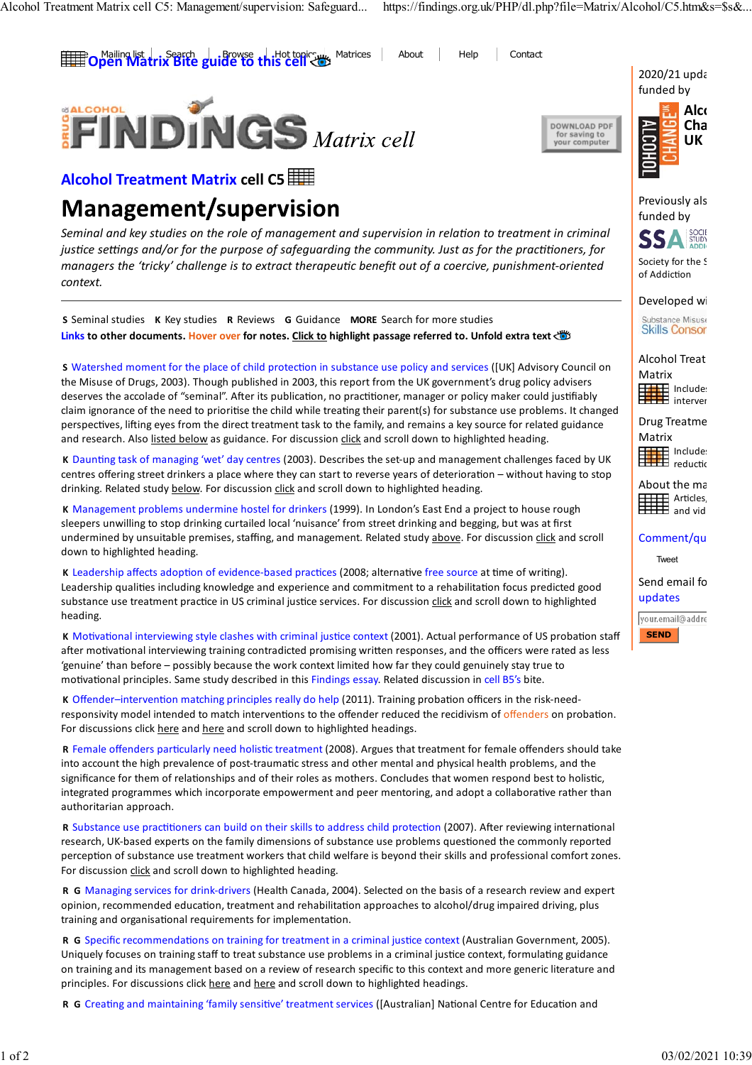Hot Mailing list to Search Buide to this cell Contact Matrices About | Help Contact



**Alcohol Treatment Matrix cell C5** 

# **Management/supervision**

*Seminal and key studies on the role of management and supervision in relation to treatment in criminal justice settings and/or for the purpose of safeguarding the community. Just as for the practitioners, for managers the 'tricky' challenge is to extract therapeutic benefit out of a coercive, punishment‐oriented context.*

**S** Seminal studies **K** Key studies **R** Reviews **G** Guidance **MORE** Search for more studies **Links to other documents. Hover over for notes. Click to highlight passage referred to. Unfold extra text** 

**S** Watershed moment for the place of child protection in substance use policy and services ([UK] Advisory Council on the Misuse of Drugs, 2003). Though published in 2003, this report from the UK government's drug policy advisers deserves the accolade of "seminal". After its publication, no practitioner, manager or policy maker could justifiably claim ignorance of the need to prioritise the child while treating their parent(s) for substance use problems. It changed perspectives, lifting eyes from the direct treatment task to the family, and remains a key source for related guidance and research. Also listed below as guidance. For discussion click and scroll down to highlighted heading.

**K** Daunting task of managing 'wet' day centres (2003). Describes the set‐up and management challenges faced by UK centres offering street drinkers a place where they can start to reverse years of deterioration – without having to stop drinking. Related study below. For discussion click and scroll down to highlighted heading.

**K** Management problems undermine hostel for drinkers (1999). In London's East End a project to house rough sleepers unwilling to stop drinking curtailed local 'nuisance' from street drinking and begging, but was at first undermined by unsuitable premises, staffing, and management. Related study above. For discussion click and scroll down to highlighted heading.

**K** Leadership affects adoption of evidence‐based practices (2008; alternative free source at time of writing). Leadership qualities including knowledge and experience and commitment to a rehabilitation focus predicted good substance use treatment practice in US criminal justice services. For discussion click and scroll down to highlighted heading.

**K** Motivational interviewing style clashes with criminal justice context (2001). Actual performance of US probation staff after motivational interviewing training contradicted promising written responses, and the officers were rated as less 'genuine' than before – possibly because the work context limited how far they could genuinely stay true to motivational principles. Same study described in this Findings essay. Related discussion in cell B5's bite.

**K** Offender–intervention matching principles really do help (2011). Training probation officers in the risk‐need‐ responsivity model intended to match interventions to the offender reduced the recidivism of offenders on probation. For discussions click here and here and scroll down to highlighted headings.

**R** Female offenders particularly need holistic treatment (2008). Argues that treatment for female offenders should take into account the high prevalence of post-traumatic stress and other mental and physical health problems, and the significance for them of relationships and of their roles as mothers. Concludes that women respond best to holistic, integrated programmes which incorporate empowerment and peer mentoring, and adopt a collaborative rather than authoritarian approach.

**R** Substance use practitioners can build on their skills to address child protection (2007). After reviewing international research, UK‐based experts on the family dimensions of substance use problems questioned the commonly reported perception of substance use treatment workers that child welfare is beyond their skills and professional comfort zones. For discussion click and scroll down to highlighted heading.

**R G** Managing services for drink‐drivers (Health Canada, 2004). Selected on the basis of a research review and expert opinion, recommended education, treatment and rehabilitation approaches to alcohol/drug impaired driving, plus training and organisational requirements for implementation.

**R G** Specific recommendations on training for treatment in a criminal justice context (Australian Government, 2005). Uniquely focuses on training staff to treat substance use problems in a criminal justice context, formulating guidance on training and its management based on a review of research specific to this context and more generic literature and principles. For discussions click here and here and scroll down to highlighted headings.

**R G** Creating and maintaining 'family sensitive' treatment services ([Australian] National Centre for Education and

DOWNLOAD PDF for saving to<br>your computer



2020/21 upda

Previously als funded by

SOCII<br>STUD

Society for the S of Addiction

Developed wi

**Substance Misuse Skills Consor** 



Include: interven

Drug Treatme Matrix  $\boxplus$  Includes

| <b>HH</b> reduction |
|---------------------|
| About the ma        |

| About the ma        |
|---------------------|
| Articles<br>and vid |
|                     |

Comment/qu

Tweet

Send email fo updates

vour.email@addre **SEND**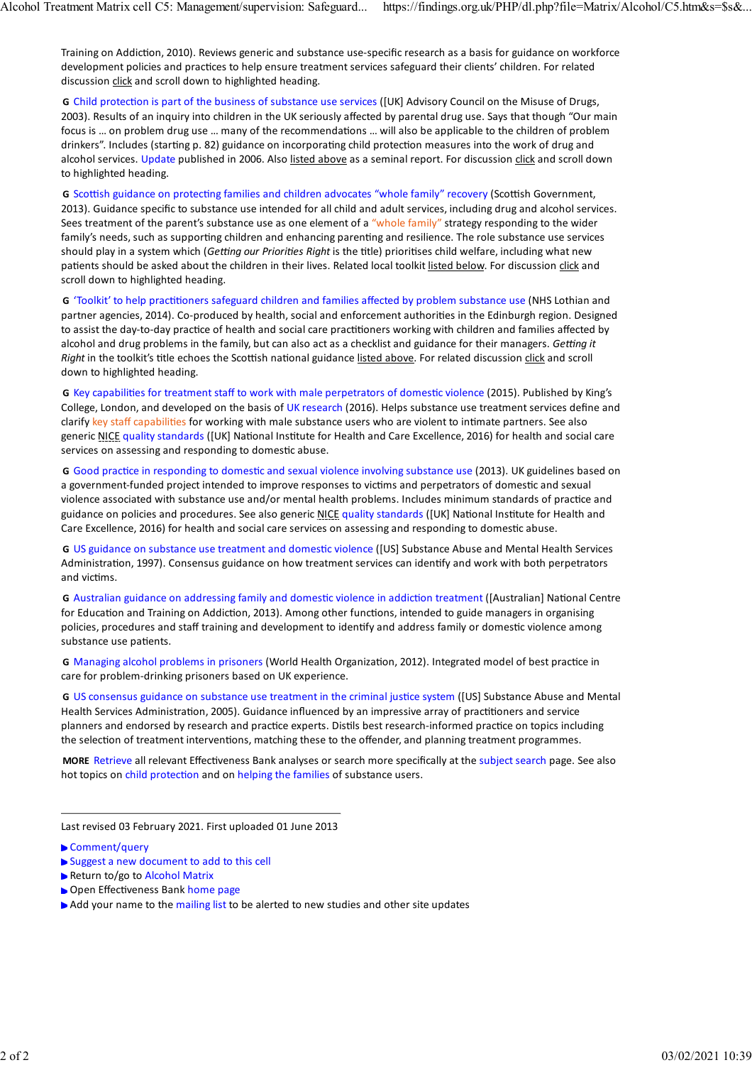Training on Addiction, 2010). Reviews generic and substance use‐specific research as a basis for guidance on workforce development policies and practices to help ensure treatment services safeguard their clients' children. For related discussion click and scroll down to highlighted heading.

**G** Child protection is part of the business of substance use services ([UK] Advisory Council on the Misuse of Drugs, 2003). Results of an inquiry into children in the UK seriously affected by parental drug use. Says that though "Our main focus is … on problem drug use … many of the recommendations … will also be applicable to the children of problem drinkers". Includes (starting p. 82) guidance on incorporating child protection measures into the work of drug and alcohol services. Update published in 2006. Also listed above as a seminal report. For discussion click and scroll down to highlighted heading.

**G** Scottish guidance on protecting families and children advocates "whole family" recovery (Scottish Government, 2013). Guidance specific to substance use intended for all child and adult services, including drug and alcohol services. Sees treatment of the parent's substance use as one element of a "whole family" strategy responding to the wider family's needs, such as supporting children and enhancing parenting and resilience. The role substance use services should play in a system which (*Getting our Priorities Right* is the title) prioritises child welfare, including what new patients should be asked about the children in their lives. Related local toolkit listed below. For discussion click and scroll down to highlighted heading.

**G** 'Toolkit' to help practitioners safeguard children and families affected by problem substance use (NHS Lothian and partner agencies, 2014). Co‐produced by health, social and enforcement authorities in the Edinburgh region. Designed to assist the day-to-day practice of health and social care practitioners working with children and families affected by alcohol and drug problems in the family, but can also act as a checklist and guidance for their managers. *Getting it Right* in the toolkit's title echoes the Scottish national guidance listed above. For related discussion click and scroll down to highlighted heading.

**G** Key capabilities for treatment staff to work with male perpetrators of domestic violence (2015). Published by King's College, London, and developed on the basis of UK research (2016). Helps substance use treatment services define and clarify key staff capabilities for working with male substance users who are violent to intimate partners. See also generic NICE quality standards ([UK] National Institute for Health and Care Excellence, 2016) for health and social care services on assessing and responding to domestic abuse.

**G** Good practice in responding to domestic and sexual violence involving substance use (2013). UK guidelines based on a government-funded project intended to improve responses to victims and perpetrators of domestic and sexual violence associated with substance use and/or mental health problems. Includes minimum standards of practice and guidance on policies and procedures. See also generic NICE quality standards ([UK] National Institute for Health and Care Excellence, 2016) for health and social care services on assessing and responding to domestic abuse.

**G** US guidance on substance use treatment and domestic violence ([US] Substance Abuse and Mental Health Services Administration, 1997). Consensus guidance on how treatment services can identify and work with both perpetrators and victims.

**G** Australian guidance on addressing family and domestic violence in addiction treatment ([Australian] National Centre for Education and Training on Addiction, 2013). Among other functions, intended to guide managers in organising policies, procedures and staff training and development to identify and address family or domestic violence among substance use patients.

**G** Managing alcohol problems in prisoners (World Health Organization, 2012). Integrated model of best practice in care for problem‐drinking prisoners based on UK experience.

**G** US consensus guidance on substance use treatment in the criminal justice system ([US] Substance Abuse and Mental Health Services Administration, 2005). Guidance influenced by an impressive array of practitioners and service planners and endorsed by research and practice experts. Distils best research‐informed practice on topics including the selection of treatment interventions, matching these to the offender, and planning treatment programmes.

**MORE** Retrieve all relevant Effectiveness Bank analyses or search more specifically at the subject search page. See also hot topics on child protection and on helping the families of substance users.

Last revised 03 February 2021. First uploaded 01 June 2013

<sup>▶</sup> Comment/query

Suggest a new document to add to this cell

<sup>▶</sup> Return to/go to Alcohol Matrix

<sup>▶</sup> Open Effectiveness Bank home page

Add your name to the mailing list to be alerted to new studies and other site updates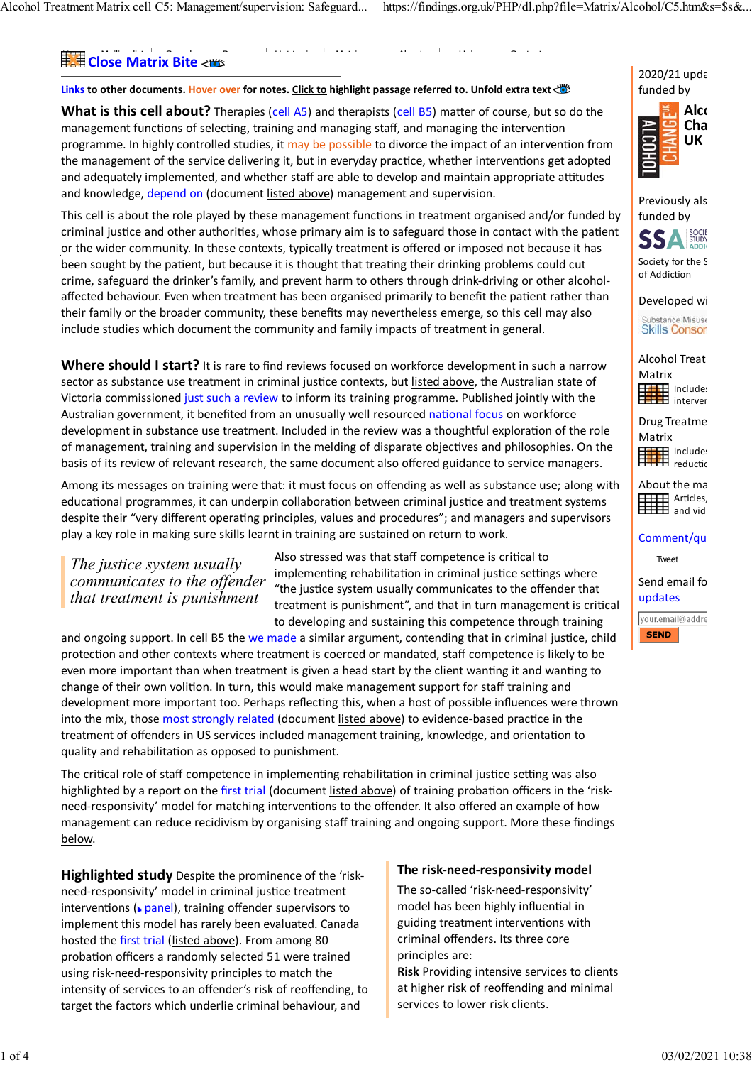## Home Mailing list Search Browse Hot topics Matrices About Help Contact  **Close Matrix Bite**

#### **Links to other documents. Hover over for notes. Click to highlight passage referred to. Unfold extra text**

**A** and adequately implemented, and whether staff are able to develop and maintain appropriate attitudes **What is this cell about?** Therapies (cell A5) and therapists (cell B5) matter of course, but so do the management functions of selecting, training and managing staff, and managing the intervention programme. In highly controlled studies, it may be possible to divorce the impact of an intervention from the management of the service delivering it, but in everyday practice, whether interventions get adopted and knowledge, depend on (document listed above) management and supervision.

*S* criminal justice and other authorities, whose primary aim is to safeguard those in contact with the patient *j* or the wider community. In these contexts, typically treatment is offered or imposed not because it has *m* been sought by the patient, but because it is thought that treating their drinking problems could cut *c* crime, safeguard the drinker's family, and prevent harm to others through drink‐driving or other alcohol‐ **L** include studies which document the community and family impacts of treatment in general. This cell is about the role played by these management functions in treatment organised and/or funded by affected behaviour. Even when treatment has been organised primarily to benefit the patient rather than their family or the broader community, these benefits may nevertheless emerge, so this cell may also

sector as substance use treatment in criminal justice contexts, but listed above, the Australian state of Victoria commissioned just such a review to inform its training programme. Published jointly with the Australian government, it benefited from an unusually well resourced national focus on workforce development in substance use treatment. Included in the review was a thoughtful exploration of the role a of management, training and supervision in the melding of disparate objectives and philosophies. On the **Where should I start?** It is rare to find reviews focused on workforce development in such a narrow basis of its review of relevant research, the same document also offered guidance to service managers.

d Among its messages on training were that: it must focus on offending as well as substance use; along with despite their "very different operating principles, values and procedures"; and managers and supervisors play a key role in making sure skills learnt in training are sustained on return to work. educational programmes, it can underpin collaboration between criminal justice and treatment systems

### *The justice system usually communicates to the offender that treatment is punishment*

d

L

Also stressed was that staff competence is critical to implementing rehabilitation in criminal justice settings where "the justice system usually communicates to the offender that treatment is punishment", and that in turn management is critical to developing and sustaining this competence through training

and ongoing support. In cell B5 the we made a similar argument, contending that in criminal justice, child protection and other contexts where treatment is coerced or mandated, staff competence is likely to be .<br>even more important than when treatment is given a head start by the client wanting it and wanting to m change of their own volition. In turn, this would make management support for staff training and into the mix, those most strongly related (document listed above) to evidence-based practice in the F treatment of offenders in US services included management training, knowledge, and orientation to development more important too. Perhaps reflecting this, when a host of possible influences were thrown quality and rehabilitation as opposed to punishment.

The critical role of staff competence in implementing rehabilitation in criminal justice setting was also highlighted by a report on the first trial (document listed above) of training probation officers in the 'riskneed-responsivity' model for matching interventions to the offender. It also offered an example of how <u>below</u>. management can reduce recidivism by organising staff training and ongoing support. More these findings

perception of substance use treatment workers that child welfare is beyond their skills and professional comfort zones.

Highlighted study Despite the prominence of the 'riskinterventions ( $\blacktriangleright$  panel), training offender supervisors to t implement this model has rarely been evaluated. Canada probation officers a randomly selected 51 were trained using risk-need-responsivity principles to match the intensity of services to an offender's risk of reoffending, to need‐responsivity' model in criminal justice treatment hosted the first trial (listed above). From among 80 target the factors which underlie criminal behaviour, and

#### **The risk‐need‐responsivity model**

The so-called 'risk-need-responsivity' model has been highly influential in guiding treatment interventions with criminal offenders. Its three core principles are:

**Risk** Providing intensive services to clients at higher risk of reoffending and minimal services to lower risk clients.

2020/21 upda funded by



Previously als funded by

SOCIE<br>STUDY Society for the S

of Addiction Developed wi

**Substance Misuse Skills Consor** 



Drug Treatme Matrix Include:

| About the ma |
|--------------|
| Articles,    |
|              |

reductic

Comment/qu

Tweet

Send email fo updates

vour.email@addre **SEND**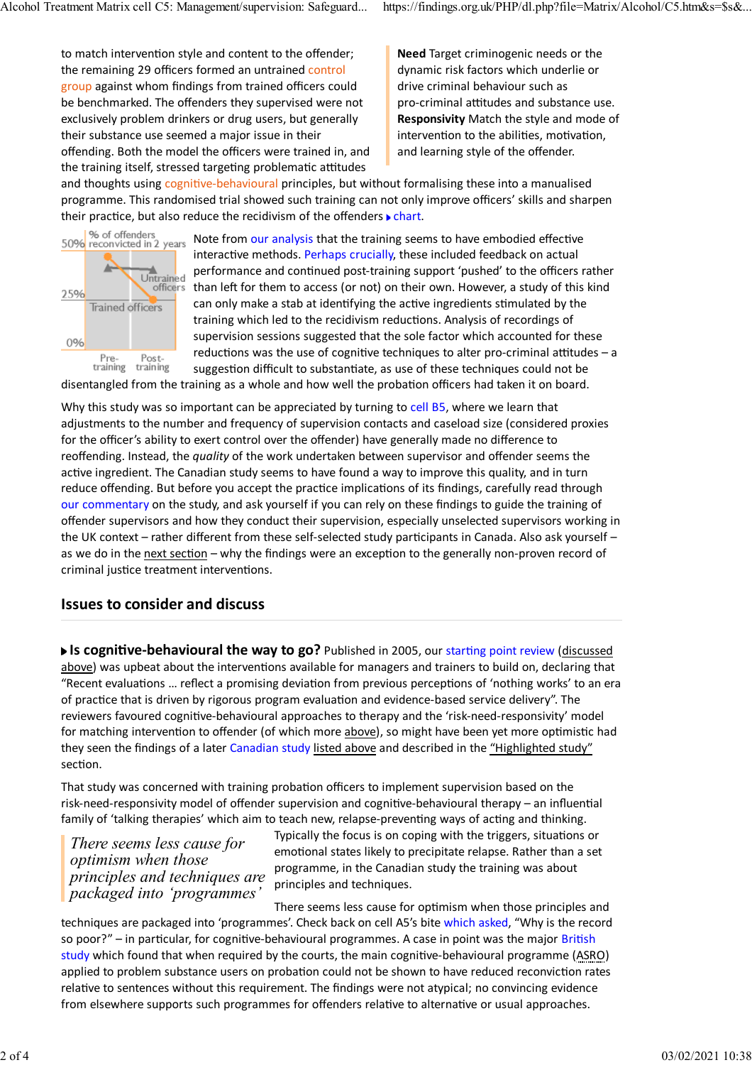to match intervention style and content to the offender; **Need** Target criminogenic needs or the the remaining 29 officers formed an untrained control group against whom findings from trained officers could exclusively problem drinkers or drug users, but generally **Namilla Responsivity** Match the style and mode of f their substance use seemed a major issue in their d offending. Both the model the officers were trained in, and  $\tilde{a}$ t the training itself, stressed targeting problematic attitudes be benchmarked. The offenders they supervised were not

**Need** Target criminogenic needs or the dynamic risk factors which underlie or drive criminal behaviour such as pro‐criminal attitudes and substance use. **Responsivity** Match the style and mode of intervention to the abilities, motivation, and learning style of the offender.

programmer this randomised that shorted such theiring surflet only<br>their practice, but also reduce the recidivism of the offenders  $\blacktriangleright$  chart. s. and thoughts using cognitive‐behavioural principles, but without formalising these into a manualised programme. This randomised trial showed such training can not only improve officers' skills and sharpen



**EXECUTER BY A LIGACE BY A LIGACE BY AND ENFORCEMENT AND ENGONOMIC LIGACE SET ALT AND ENFORCEMENT REGION. DESIGN** Note from our analysis that the training seems to have embodied effective interactive methods. Perhaps crucially, these included feedback on actual performance and continued post-training support 'pushed' to the officers rather than left for them to access (or not) on their own. However, a study of this kind can only make a stab at identifying the active ingredients stimulated by the supervision sessions suggested that the sole factor which accounted for these reductions was the use of cognitive techniques to alter pro‐criminal attitudes – a suggestion difficult to substantiate, as use of these techniques could not be

disentangled from the training as a whole and how well the probation officers had taken it on board.

Why this study was so important can be appreciated by turning to cell B5, where we learn that adjustments to the number and frequency of supervision contacts and caseload size (considered proxies for the officer's ability to exert control over the offender) have generally made no difference to reoffending. Instead, the *quality* of the work undertaken between supervisor and offender seems the reduce offending. But before you accept the practice implications of its findings, carefully read through our commentary on the study, and ask yourself if you can rely on these findings to guide the training of offender supervisors and how they conduct their supervision, especially unselected supervisors working in C the UK context – rather different from these self‐selected study participants in Canada. Also ask yourself –  $\overline{a}$ a criminal justice treatment interventions. active ingredient. The Canadian study seems to have found a way to improve this quality, and in turn as we do in the next section – why the findings were an exception to the generally non-proven record of

## f **Issues to consider and discuss**

s **Is cognitive‐behavioural the way to go?** Published in 2005, our starting point review (discussed c "Recent evaluations … reflect a promising deviation from previous perceptions of 'nothing works' to an era reviewers favoured cognitive-behavioural approaches to therapy and the 'risk-need-responsivity' model for matching intervention to offender (of which more above), so might have been yet more optimistic had they seen the findings of a later Canadian study <u>listed above</u> and described in the "Highlighted study" above) was upbeat about the interventions available for managers and trainers to build on, declaring that of practice that is driven by rigorous program evaluation and evidence‐based service delivery". The section.

family of 'talking therapies' which aim to teach new, relapse-preventing ways of acting and thinking.<br>The control of the control of the control of the control of the control of the control of the control of the c That study was concerned with training probation officers to implement supervision based on the risk‐need‐responsivity model of offender supervision and cognitive‐behavioural therapy – an influential

*There seems less cause for optimism when those principles and techniques are packaged into 'programmes'*

Typically the focus is on coping with the triggers, situations or emotional states likely to precipitate relapse. Rather than a set programme, in the Canadian study the training was about principles and techniques.

There seems less cause for optimism when those principles and techniques are packaged into 'programmes'. Check back on cell A5's bite which asked, "Why is the record so poor?" – in particular, for cognitive-behavioural programmes. A case in point was the major British study which found that when required by the courts, the main cognitive‐behavioural programme (ASRO) applied to problem substance users on probation could not be shown to have reduced reconviction rates relative to sentences without this requirement. The findings were not atypical; no convincing evidence from elsewhere supports such programmes for offenders relative to alternative or usual approaches.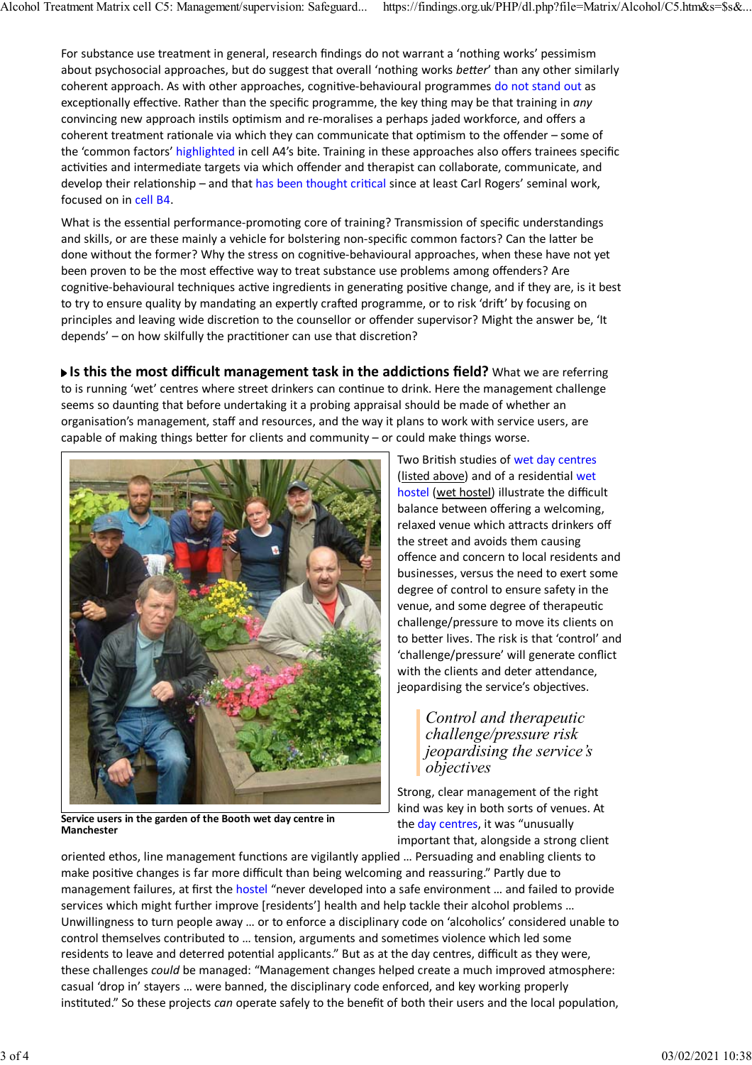For substance use treatment in general, research findings do not warrant a 'nothing works' pessimism about psychosocial approaches, but do suggest that overall 'nothing works *better*' than any other similarly coherent approach. As with other approaches, cognitive‐behavioural programmes do not stand out as exceptionally effective. Rather than the specific programme, the key thing may be that training in *any* convincing new approach instils optimism and re‐moralises a perhaps jaded workforce, and offers a coherent treatment rationale via which they can communicate that optimism to the offender – some of the 'common factors' highlighted in cell A4's bite. Training in these approaches also offers trainees specific activities and intermediate targets via which offender and therapist can collaborate, communicate, and develop their relationship – and that has been thought critical since at least Carl Rogers' seminal work, focused on in cell B4.

What is the essential performance-promoting core of training? Transmission of specific understandings and skills, or are these mainly a vehicle for bolstering non‐specific common factors? Can the latter be done without the former? Why the stress on cognitive‐behavioural approaches, when these have not yet been proven to be the most effective way to treat substance use problems among offenders? Are cognitive‐behavioural techniques active ingredients in generating positive change, and if they are, is it best to try to ensure quality by mandating an expertly crafted programme, or to risk 'drift' by focusing on principles and leaving wide discretion to the counsellor or offender supervisor? Might the answer be, 'It depends' – on how skilfully the practitioner can use that discretion?

**Is this the most difficult management task in the addictions field?** What we are referring to is running 'wet' centres where street drinkers can continue to drink. Here the management challenge seems so daunting that before undertaking it a probing appraisal should be made of whether an organisation's management, staff and resources, and the way it plans to work with service users, are capable of making things better for clients and community – or could make things worse.



**Service users in the garden of the Booth wet day centre in Manchester**

Two British studies of wet day centres (listed above) and of a residential wet hostel (wet hostel) illustrate the difficult balance between offering a welcoming, relaxed venue which attracts drinkers off the street and avoids them causing offence and concern to local residents and businesses, versus the need to exert some degree of control to ensure safety in the venue, and some degree of therapeutic challenge/pressure to move its clients on to better lives. The risk is that 'control' and 'challenge/pressure' will generate conflict with the clients and deter attendance, jeopardising the service's objectives.

### *Control and therapeutic challenge/pressure risk jeopardising the service's objectives*

Strong, clear management of the right kind was key in both sorts of venues. At the day centres, it was "unusually important that, alongside a strong client

oriented ethos, line management functions are vigilantly applied … Persuading and enabling clients to make positive changes is far more difficult than being welcoming and reassuring." Partly due to management failures, at first the hostel "never developed into a safe environment … and failed to provide services which might further improve [residents'] health and help tackle their alcohol problems ... Unwillingness to turn people away … or to enforce a disciplinary code on 'alcoholics' considered unable to control themselves contributed to … tension, arguments and sometimes violence which led some residents to leave and deterred potential applicants." But as at the day centres, difficult as they were, these challenges *could* be managed: "Management changes helped create a much improved atmosphere: casual 'drop in' stayers … were banned, the disciplinary code enforced, and key working properly instituted." So these projects *can* operate safely to the benefit of both their users and the local population,